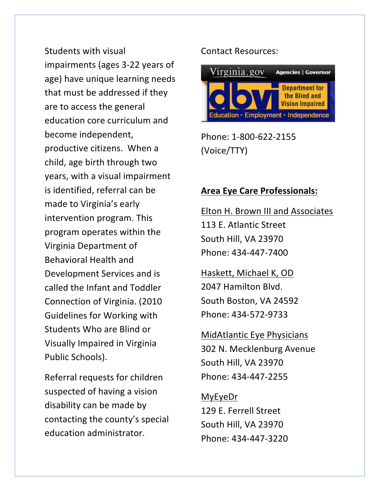Students with visual impairments (ages 3-22 years of age) have unique learning needs that must be addressed if they are to access the general education core curriculum and become independent, productive citizens. When a child, age birth through two years, with a visual impairment is identified, referral can be made to Virginia's early intervention program. This program operates within the Virginia Department of Behavioral Health and Development Services and is called the Infant and Toddler Connection of Virginia. (2010) Guidelines for Working with Students Who are Blind or Visually Impaired in Virginia Public Schools).

Referral requests for children suspected of having a vision disability can be made by contacting the county's special education administrator.

## Contact Resources:



Phone: 1-800-622-2155 (Voice/TTY)

## **Area Eye Care Professionals:**

Elton H. Brown III and Associates 113 E. Atlantic Street South Hill, VA 23970 Phone: 434-447-7400

Haskett, Michael K, OD 2047 Hamilton Blvd. South Boston, VA 24592 Phone: 434-572-9733

MidAtlantic Eye Physicians 302 N. Mecklenburg Avenue South Hill, VA 23970 Phone: 434-447-2255

MyEyeDr 129 E. Ferrell Street South Hill, VA 23970 Phone: 434-447-3220